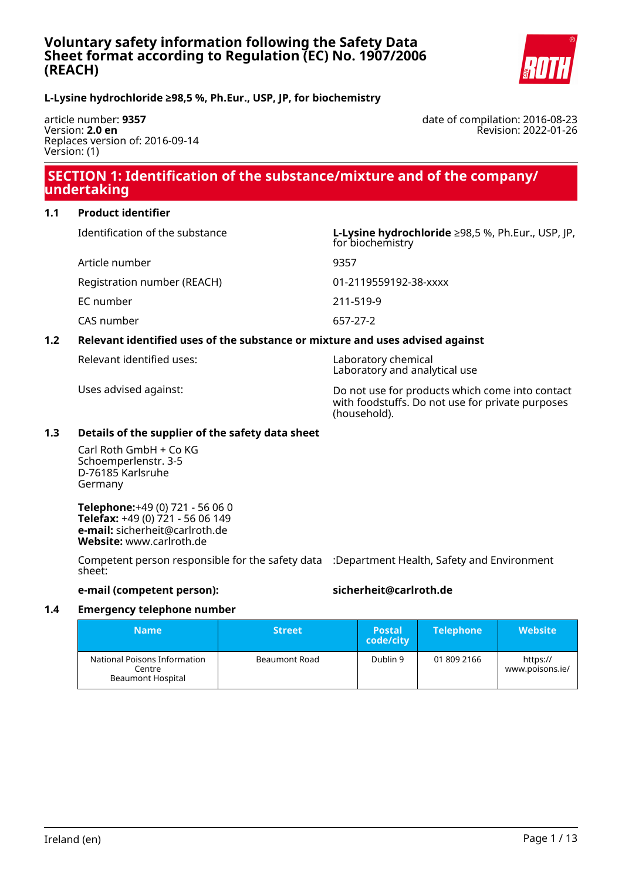

### **L-Lysine hydrochloride ≥98,5 %, Ph.Eur., USP, JP, for biochemistry**

article number: **9357** Version: **2.0 en** Replaces version of: 2016-09-14 Version: (1)

date of compilation: 2016-08-23 Revision: 2022-01-26

# **SECTION 1: Identification of the substance/mixture and of the company/ undertaking**

#### **1.1 Product identifier**

Article number 9357

Identification of the substance **L-Lysine hydrochloride** ≥98,5 %, Ph.Eur., USP, JP, for biochemistry

Registration number (REACH) 01-2119559192-38-xxxx

EC number 211-519-9

CAS number 657-27-2

### **1.2 Relevant identified uses of the substance or mixture and uses advised against**

Relevant identified uses: Laboratory chemical

Laboratory and analytical use

Uses advised against: Do not use for products which come into contact with foodstuffs. Do not use for private purposes (household).

#### **1.3 Details of the supplier of the safety data sheet**

Carl Roth GmbH + Co KG Schoemperlenstr. 3-5 D-76185 Karlsruhe Germany

**Telephone:**+49 (0) 721 - 56 06 0 **Telefax:** +49 (0) 721 - 56 06 149 **e-mail:** sicherheit@carlroth.de **Website:** www.carlroth.de

Competent person responsible for the safety data :Department Health, Safety and Environment sheet:

### **e-mail (competent person): sicherheit@carlroth.de**

#### **1.4 Emergency telephone number**

| <b>Name</b>                                                        | <b>Street</b> | <b>Postal</b><br>code/city | <b>Telephone</b> | <b>Website</b>              |
|--------------------------------------------------------------------|---------------|----------------------------|------------------|-----------------------------|
| National Poisons Information<br>Centre<br><b>Beaumont Hospital</b> | Beaumont Road | Dublin 9                   | 01 809 2166      | https://<br>www.poisons.ie/ |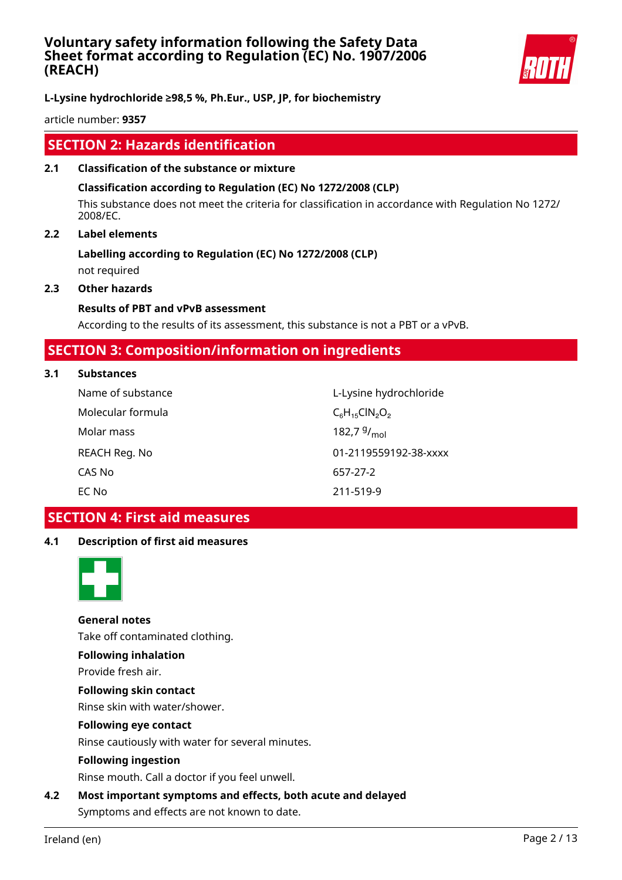

**L-Lysine hydrochloride ≥98,5 %, Ph.Eur., USP, JP, for biochemistry**

article number: **9357**

# **SECTION 2: Hazards identification**

**2.1 Classification of the substance or mixture**

### **Classification according to Regulation (EC) No 1272/2008 (CLP)**

This substance does not meet the criteria for classification in accordance with Regulation No 1272/ 2008/EC.

### **2.2 Label elements**

### **Labelling according to Regulation (EC) No 1272/2008 (CLP)** not required

**2.3 Other hazards**

### **Results of PBT and vPvB assessment**

According to the results of its assessment, this substance is not a PBT or a vPvB.

# **SECTION 3: Composition/information on ingredients**

#### **3.1 Substances**

| Name of substance | L-Lysine hydrochloride  |
|-------------------|-------------------------|
| Molecular formula | $C_6H_{15}CIN_2O_2$     |
| Molar mass        | 182,7 $9/_{\text{mol}}$ |
| REACH Reg. No     | 01-2119559192-38-xxxx   |
| CAS No            | 657-27-2                |
| EC No             | 211-519-9               |

# **SECTION 4: First aid measures**

### **4.1 Description of first aid measures**



**General notes** Take off contaminated clothing.

### **Following inhalation**

Provide fresh air.

**Following skin contact**

Rinse skin with water/shower.

# **Following eye contact**

Rinse cautiously with water for several minutes.

#### **Following ingestion**

Rinse mouth. Call a doctor if you feel unwell.

**4.2 Most important symptoms and effects, both acute and delayed** Symptoms and effects are not known to date.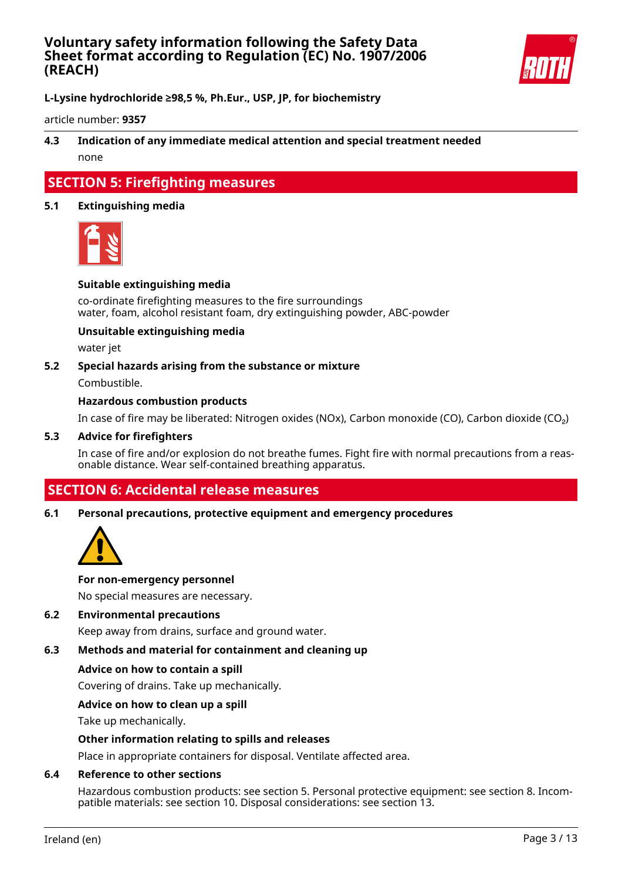

**L-Lysine hydrochloride ≥98,5 %, Ph.Eur., USP, JP, for biochemistry**

article number: **9357**

### **4.3 Indication of any immediate medical attention and special treatment needed** none

# **SECTION 5: Firefighting measures**

#### **5.1 Extinguishing media**



#### **Suitable extinguishing media**

co-ordinate firefighting measures to the fire surroundings water, foam, alcohol resistant foam, dry extinguishing powder, ABC-powder

#### **Unsuitable extinguishing media**

water jet

#### **5.2 Special hazards arising from the substance or mixture**

Combustible.

#### **Hazardous combustion products**

In case of fire may be liberated: Nitrogen oxides (NOx), Carbon monoxide (CO), Carbon dioxide (CO₂)

#### **5.3 Advice for firefighters**

In case of fire and/or explosion do not breathe fumes. Fight fire with normal precautions from a reasonable distance. Wear self-contained breathing apparatus.

# **SECTION 6: Accidental release measures**

#### **6.1 Personal precautions, protective equipment and emergency procedures**



#### **For non-emergency personnel**

No special measures are necessary.

#### **6.2 Environmental precautions**

Keep away from drains, surface and ground water.

### **6.3 Methods and material for containment and cleaning up**

#### **Advice on how to contain a spill**

Covering of drains. Take up mechanically.

#### **Advice on how to clean up a spill**

Take up mechanically.

#### **Other information relating to spills and releases**

Place in appropriate containers for disposal. Ventilate affected area.

#### **6.4 Reference to other sections**

Hazardous combustion products: see section 5. Personal protective equipment: see section 8. Incompatible materials: see section 10. Disposal considerations: see section 13.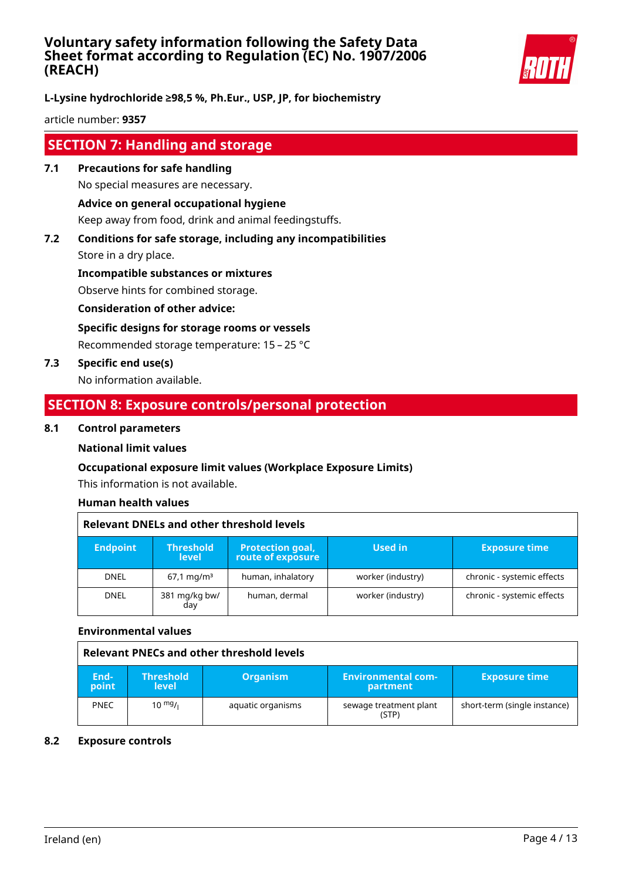

**L-Lysine hydrochloride ≥98,5 %, Ph.Eur., USP, JP, for biochemistry**

article number: **9357**

# **SECTION 7: Handling and storage**

- **7.1 Precautions for safe handling** No special measures are necessary. **Advice on general occupational hygiene** Keep away from food, drink and animal feedingstuffs.
- **7.2 Conditions for safe storage, including any incompatibilities** Store in a dry place.

**Incompatible substances or mixtures**

Observe hints for combined storage.

**Consideration of other advice:**

**Specific designs for storage rooms or vessels**

Recommended storage temperature: 15 – 25 °C

**7.3 Specific end use(s)**

No information available.

# **SECTION 8: Exposure controls/personal protection**

### **8.1 Control parameters**

### **National limit values**

### **Occupational exposure limit values (Workplace Exposure Limits)**

This information is not available.

### **Human health values**

| <b>Relevant DNELs and other threshold levels</b> |                                  |                                              |                   |                            |  |
|--------------------------------------------------|----------------------------------|----------------------------------------------|-------------------|----------------------------|--|
| <b>Endpoint</b>                                  | <b>Threshold</b><br><b>level</b> | <b>Protection goal,</b><br>route of exposure | Used in           | <b>Exposure time</b>       |  |
| <b>DNEL</b>                                      | $67.1 \,\mathrm{mq/m^3}$         | human, inhalatory                            | worker (industry) | chronic - systemic effects |  |
| <b>DNEL</b>                                      | 381 mg/kg bw/<br>day             | human, dermal                                | worker (industry) | chronic - systemic effects |  |

#### **Environmental values**

| Relevant PNECs and other threshold levels |                                  |                   |                                       |                              |
|-------------------------------------------|----------------------------------|-------------------|---------------------------------------|------------------------------|
| End-<br>point                             | <b>Threshold</b><br><b>level</b> | <b>Organism</b>   | <b>Environmental com-</b><br>partment | <b>Exposure time</b>         |
| <b>PNEC</b>                               | $10^{mg}$ /                      | aquatic organisms | sewage treatment plant<br>(STP)       | short-term (single instance) |

#### **8.2 Exposure controls**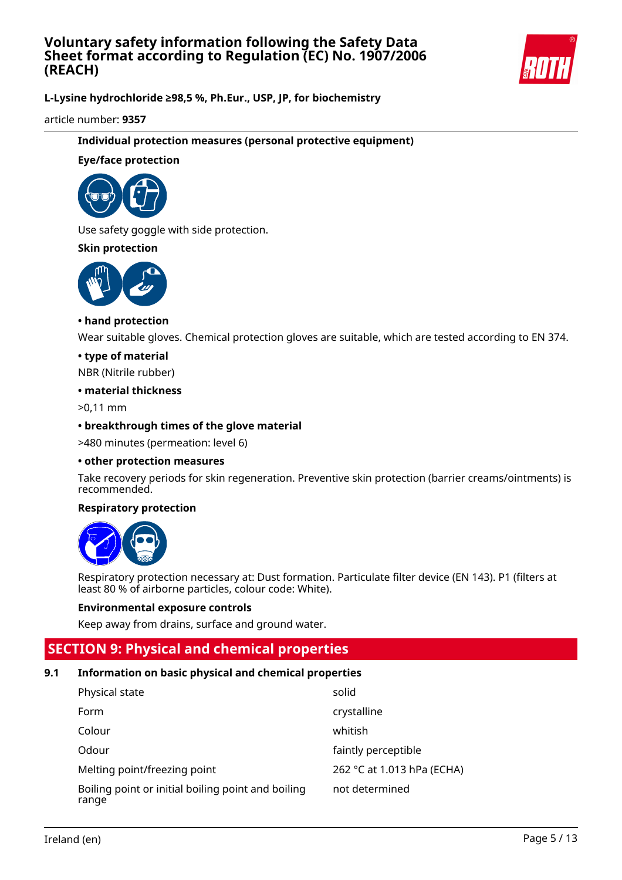

**L-Lysine hydrochloride ≥98,5 %, Ph.Eur., USP, JP, for biochemistry**

article number: **9357**

### **Individual protection measures (personal protective equipment)**

### **Eye/face protection**



Use safety goggle with side protection.

### **Skin protection**



### **• hand protection**

Wear suitable gloves. Chemical protection gloves are suitable, which are tested according to EN 374.

#### **• type of material**

NBR (Nitrile rubber)

#### **• material thickness**

>0,11 mm

### **• breakthrough times of the glove material**

>480 minutes (permeation: level 6)

#### **• other protection measures**

Take recovery periods for skin regeneration. Preventive skin protection (barrier creams/ointments) is recommended.

### **Respiratory protection**



Respiratory protection necessary at: Dust formation. Particulate filter device (EN 143). P1 (filters at least 80 % of airborne particles, colour code: White).

#### **Environmental exposure controls**

Keep away from drains, surface and ground water.

# **SECTION 9: Physical and chemical properties**

### **9.1 Information on basic physical and chemical properties**

| Physical state                                              | solid                      |
|-------------------------------------------------------------|----------------------------|
| Form                                                        | crystalline                |
| Colour                                                      | whitish                    |
| Odour                                                       | faintly perceptible        |
| Melting point/freezing point                                | 262 °C at 1.013 hPa (ECHA) |
| Boiling point or initial boiling point and boiling<br>range | not determined             |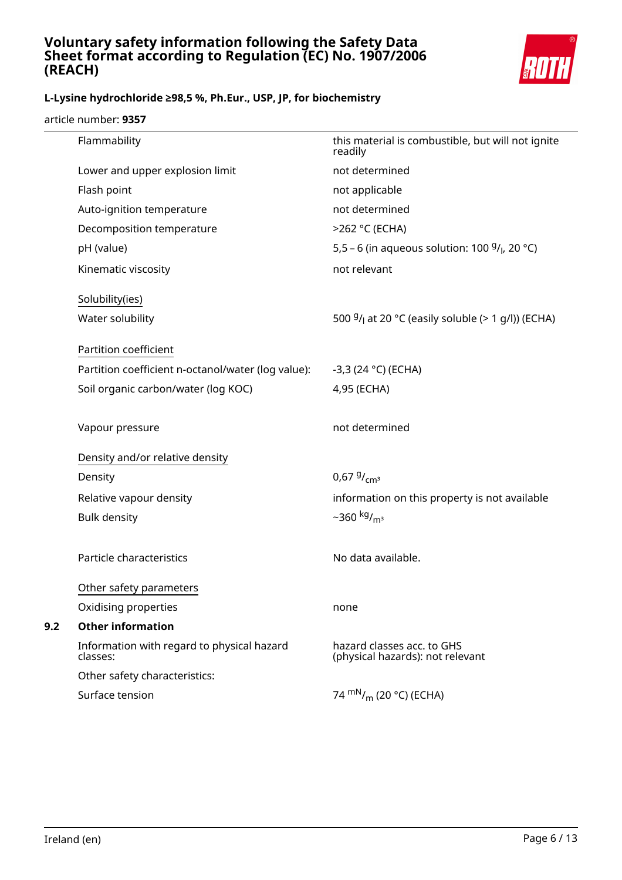

# **L-Lysine hydrochloride ≥98,5 %, Ph.Eur., USP, JP, for biochemistry**

article number: **9357**

|     | Flammability                                           | this material is combustible, but will not ignite<br>readily   |
|-----|--------------------------------------------------------|----------------------------------------------------------------|
|     | Lower and upper explosion limit                        | not determined                                                 |
|     | Flash point                                            | not applicable                                                 |
|     | Auto-ignition temperature                              | not determined                                                 |
|     | Decomposition temperature                              | >262 °C (ECHA)                                                 |
|     | pH (value)                                             | 5,5 – 6 (in aqueous solution: 100 $9/1$ , 20 °C)               |
|     | Kinematic viscosity                                    | not relevant                                                   |
|     | Solubility(ies)                                        |                                                                |
|     | Water solubility                                       | 500 $9/1$ at 20 °C (easily soluble (> 1 g/l)) (ECHA)           |
|     | Partition coefficient                                  |                                                                |
|     | Partition coefficient n-octanol/water (log value):     | $-3,3(24 °C)$ (ECHA)                                           |
|     | Soil organic carbon/water (log KOC)                    | 4,95 (ECHA)                                                    |
|     | Vapour pressure                                        | not determined                                                 |
|     | Density and/or relative density                        |                                                                |
|     | Density                                                | 0,67 $9/_{cm^3}$                                               |
|     | Relative vapour density                                | information on this property is not available                  |
|     | <b>Bulk density</b>                                    | $-360$ kg/ <sub>m<sup>3</sup></sub>                            |
|     | Particle characteristics                               | No data available.                                             |
|     | Other safety parameters                                |                                                                |
|     | Oxidising properties                                   | none                                                           |
| 9.2 | <b>Other information</b>                               |                                                                |
|     | Information with regard to physical hazard<br>classes: | hazard classes acc. to GHS<br>(physical hazards): not relevant |
|     | Other safety characteristics:                          |                                                                |
|     | Surface tension                                        | 74 $\rm{mN}_{/m}$ (20 °C) (ECHA)                               |
|     |                                                        |                                                                |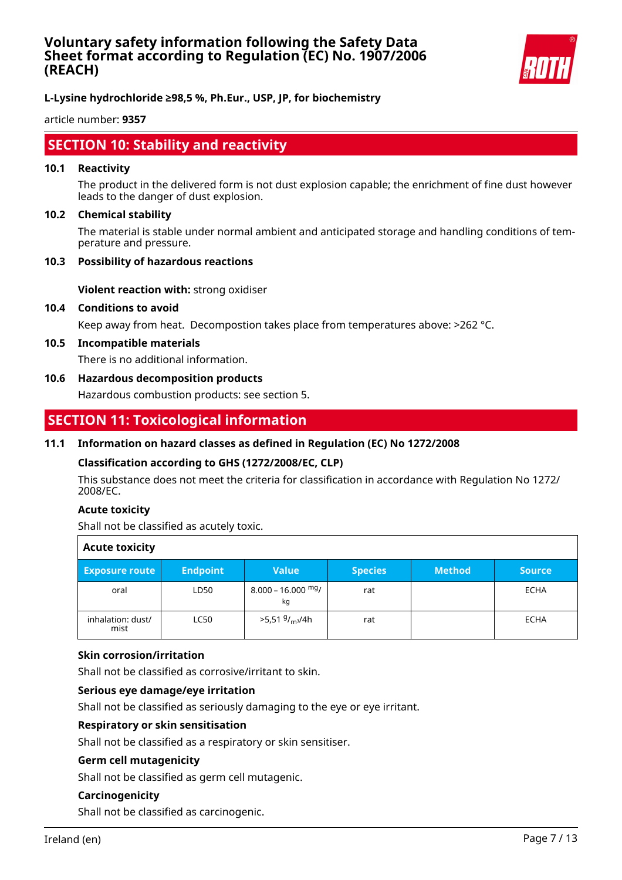

**L-Lysine hydrochloride ≥98,5 %, Ph.Eur., USP, JP, for biochemistry**

article number: **9357**

# **SECTION 10: Stability and reactivity**

#### **10.1 Reactivity**

The product in the delivered form is not dust explosion capable; the enrichment of fine dust however leads to the danger of dust explosion.

#### **10.2 Chemical stability**

The material is stable under normal ambient and anticipated storage and handling conditions of temperature and pressure.

#### **10.3 Possibility of hazardous reactions**

**Violent reaction with:** strong oxidiser

#### **10.4 Conditions to avoid**

Keep away from heat. Decompostion takes place from temperatures above: >262 °C.

#### **10.5 Incompatible materials**

There is no additional information.

#### **10.6 Hazardous decomposition products**

Hazardous combustion products: see section 5.

# **SECTION 11: Toxicological information**

#### **11.1 Information on hazard classes as defined in Regulation (EC) No 1272/2008**

#### **Classification according to GHS (1272/2008/EC, CLP)**

This substance does not meet the criteria for classification in accordance with Regulation No 1272/ 2008/EC.

#### **Acute toxicity**

Shall not be classified as acutely toxic.

| <b>Acute toxicity</b>     |                 |                                        |                |               |               |
|---------------------------|-----------------|----------------------------------------|----------------|---------------|---------------|
| <b>Exposure route</b>     | <b>Endpoint</b> | <b>Value</b>                           | <b>Species</b> | <b>Method</b> | <b>Source</b> |
| oral                      | LD50            | $8.000 - 16.000$ mg/<br>kg             | rat            |               | <b>ECHA</b>   |
| inhalation: dust/<br>mist | <b>LC50</b>     | >5,51 <sup>g</sup> / <sub>m3</sub> /4h | rat            |               | <b>ECHA</b>   |

#### **Skin corrosion/irritation**

Shall not be classified as corrosive/irritant to skin.

#### **Serious eye damage/eye irritation**

Shall not be classified as seriously damaging to the eye or eye irritant.

### **Respiratory or skin sensitisation**

Shall not be classified as a respiratory or skin sensitiser.

#### **Germ cell mutagenicity**

Shall not be classified as germ cell mutagenic.

### **Carcinogenicity**

Shall not be classified as carcinogenic.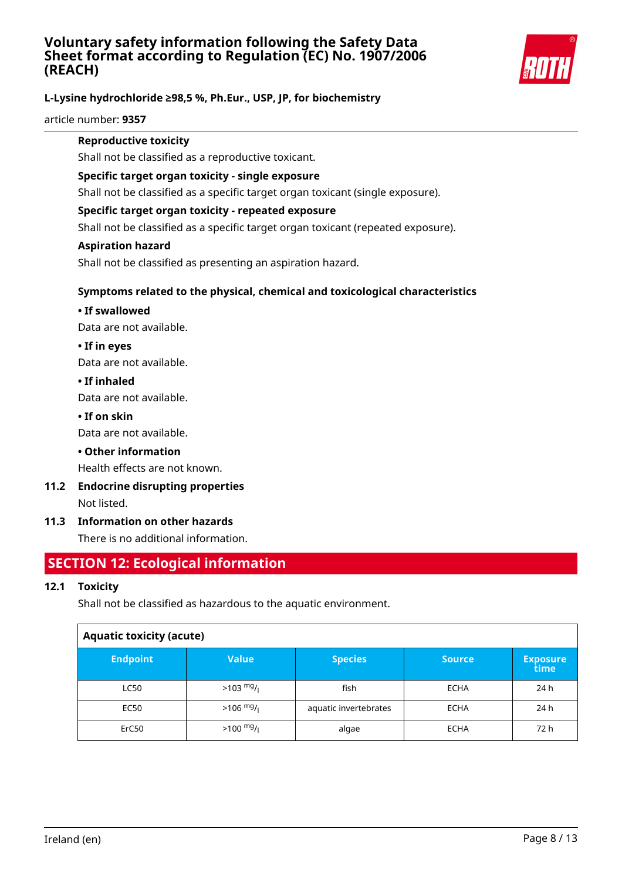

### **L-Lysine hydrochloride ≥98,5 %, Ph.Eur., USP, JP, for biochemistry**

article number: **9357**

#### **Reproductive toxicity**

Shall not be classified as a reproductive toxicant.

#### **Specific target organ toxicity - single exposure**

Shall not be classified as a specific target organ toxicant (single exposure).

### **Specific target organ toxicity - repeated exposure**

Shall not be classified as a specific target organ toxicant (repeated exposure).

#### **Aspiration hazard**

Shall not be classified as presenting an aspiration hazard.

### **Symptoms related to the physical, chemical and toxicological characteristics**

### **• If swallowed**

Data are not available.

### **• If in eyes**

Data are not available.

### **• If inhaled**

Data are not available.

### **• If on skin**

Data are not available.

### **• Other information**

Health effects are not known.

# **11.2 Endocrine disrupting properties**

Not listed.

### **11.3 Information on other hazards**

There is no additional information.

# **SECTION 12: Ecological information**

### **12.1 Toxicity**

Shall not be classified as hazardous to the aquatic environment.

| <b>Aquatic toxicity (acute)</b> |                     |                       |               |                         |  |
|---------------------------------|---------------------|-----------------------|---------------|-------------------------|--|
| <b>Endpoint</b>                 | <b>Value</b>        | <b>Species</b>        | <b>Source</b> | <b>Exposure</b><br>time |  |
| <b>LC50</b>                     | $>103 \frac{mg}{l}$ | fish                  | <b>ECHA</b>   | 24 h                    |  |
| <b>EC50</b>                     | $>106$ mg/          | aquatic invertebrates | <b>ECHA</b>   | 24 h                    |  |
| ErC50                           | $>100 \frac{mg}{l}$ | algae                 | <b>ECHA</b>   | 72 h                    |  |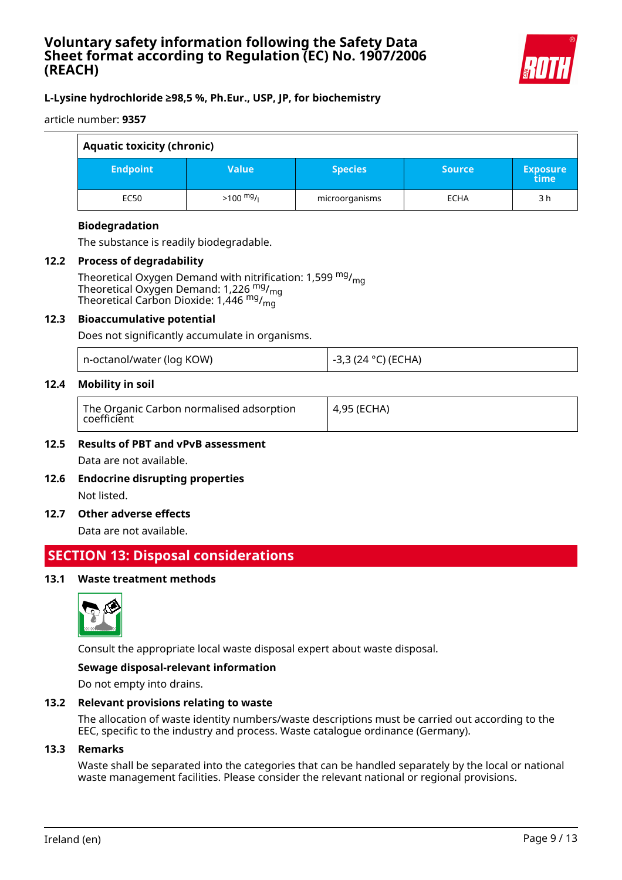

### **L-Lysine hydrochloride ≥98,5 %, Ph.Eur., USP, JP, for biochemistry**

article number: **9357**

| <b>Aquatic toxicity (chronic)</b> |                     |                |               |                         |
|-----------------------------------|---------------------|----------------|---------------|-------------------------|
| <b>Endpoint</b>                   | <b>Value</b>        | <b>Species</b> | <b>Source</b> | <b>Exposure</b><br>time |
| <b>EC50</b>                       | $>100 \frac{mg}{l}$ | microorganisms | <b>ECHA</b>   | 3 h                     |

### **Biodegradation**

The substance is readily biodegradable.

#### **12.2 Process of degradability**

Theoretical Oxygen Demand with nitrification: 1,599  $mg/m<sub>0</sub>$ Theoretical Oxygen Demand: 1,226  $mg/mq$ Theoretical Carbon Dioxide: 1,446 mg/mg

#### **12.3 Bioaccumulative potential**

Does not significantly accumulate in organisms.

|  | n-octanol/water (log KOW) |  |
|--|---------------------------|--|
|--|---------------------------|--|

### **12.4 Mobility in soil**

-3,3 (24 °C) (ECHA)

### **12.5 Results of PBT and vPvB assessment** Data are not available.

**12.6 Endocrine disrupting properties** Not listed.

#### **12.7 Other adverse effects**

Data are not available.

# **SECTION 13: Disposal considerations**

### **13.1 Waste treatment methods**



Consult the appropriate local waste disposal expert about waste disposal.

#### **Sewage disposal-relevant information**

Do not empty into drains.

#### **13.2 Relevant provisions relating to waste**

The allocation of waste identity numbers/waste descriptions must be carried out according to the EEC, specific to the industry and process. Waste catalogue ordinance (Germany).

#### **13.3 Remarks**

Waste shall be separated into the categories that can be handled separately by the local or national waste management facilities. Please consider the relevant national or regional provisions.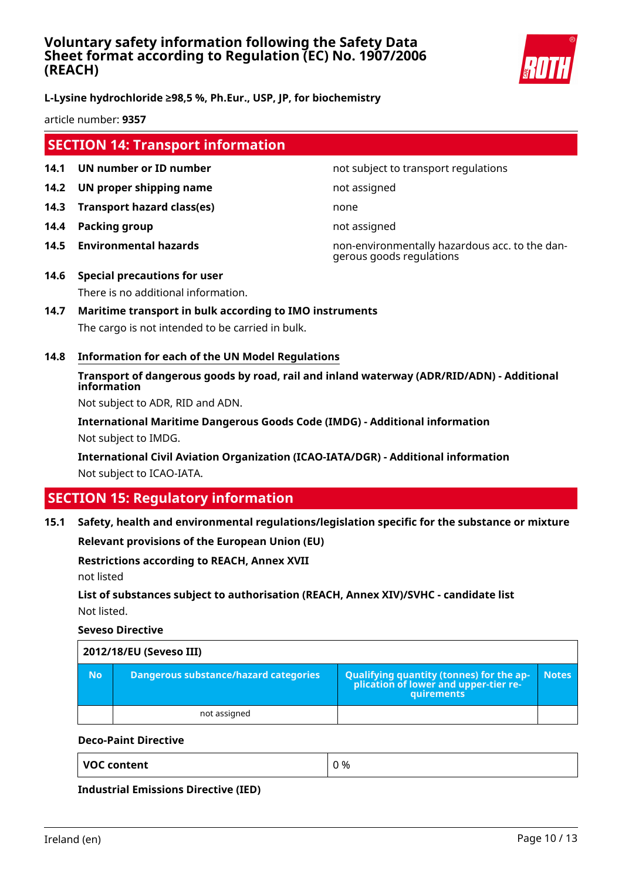

### **L-Lysine hydrochloride ≥98,5 %, Ph.Eur., USP, JP, for biochemistry**

article number: **9357**

# **SECTION 14: Transport information**

- **14.1 UN number or ID number not subject to transport regulations**
- **14.2 UN proper shipping name** not assigned
- **14.3 Transport hazard class(es)** none
- **14.4 Packing group not assigned**
- 

**14.5 Environmental hazards** non-environmentally hazardous acc. to the dangerous goods regulations

- **14.6 Special precautions for user** There is no additional information.
- **14.7 Maritime transport in bulk according to IMO instruments** The cargo is not intended to be carried in bulk.
- **14.8 Information for each of the UN Model Regulations**

### **Transport of dangerous goods by road, rail and inland waterway (ADR/RID/ADN) - Additional information**

Not subject to ADR, RID and ADN.

**International Maritime Dangerous Goods Code (IMDG) - Additional information** Not subject to IMDG.

**International Civil Aviation Organization (ICAO-IATA/DGR) - Additional information** Not subject to ICAO-IATA.

# **SECTION 15: Regulatory information**

#### **15.1 Safety, health and environmental regulations/legislation specific for the substance or mixture**

**Relevant provisions of the European Union (EU)**

#### **Restrictions according to REACH, Annex XVII**

not listed

### **List of substances subject to authorisation (REACH, Annex XIV)/SVHC - candidate list** Not listed.

**Seveso Directive**

|           | 2012/18/EU (Seveso III)                      |                                                                                            |              |  |  |  |
|-----------|----------------------------------------------|--------------------------------------------------------------------------------------------|--------------|--|--|--|
| <b>No</b> | <b>Dangerous substance/hazard categories</b> | Qualifying quantity (tonnes) for the application of lower and upper-tier re-<br>quirements | <b>Notes</b> |  |  |  |
|           | not assigned                                 |                                                                                            |              |  |  |  |

#### **Deco-Paint Directive**

**Industrial Emissions Directive (IED)**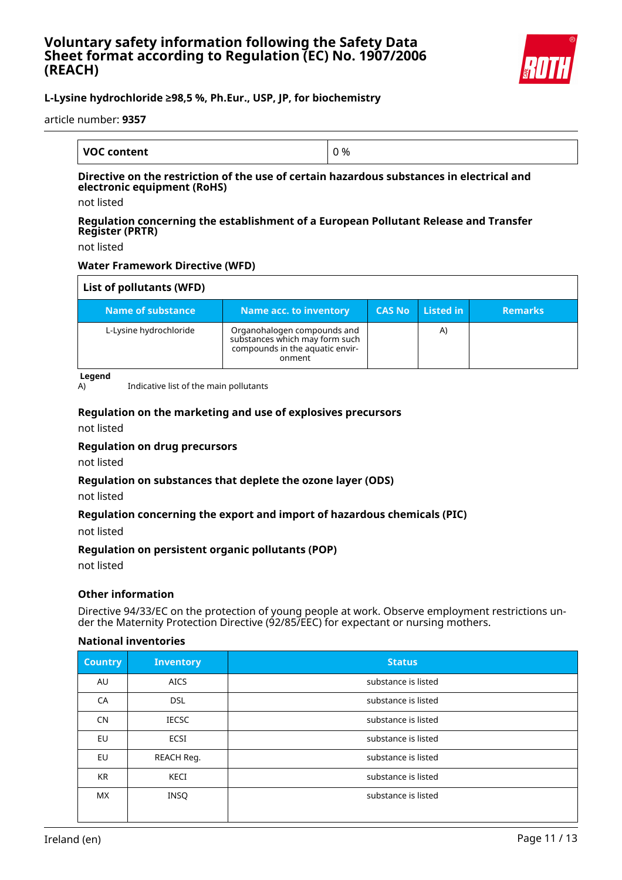

### **L-Lysine hydrochloride ≥98,5 %, Ph.Eur., USP, JP, for biochemistry**

article number: **9357**

| <b>VOC content</b> | J % |
|--------------------|-----|

#### **Directive on the restriction of the use of certain hazardous substances in electrical and electronic equipment (RoHS)**

not listed

#### **Regulation concerning the establishment of a European Pollutant Release and Transfer Register (PRTR)**

not listed

### **Water Framework Directive (WFD)**

| List of pollutants (WFD) |                                                                                                            |               |           |                |
|--------------------------|------------------------------------------------------------------------------------------------------------|---------------|-----------|----------------|
| Name of substance        | <b>Name acc. to inventory</b>                                                                              | <b>CAS No</b> | Listed in | <b>Remarks</b> |
| L-Lysine hydrochloride   | Organohalogen compounds and<br>substances which may form such<br>compounds in the aquatic envir-<br>onment |               | A)        |                |

**Legend**

A) Indicative list of the main pollutants

### **Regulation on the marketing and use of explosives precursors**

not listed

#### **Regulation on drug precursors**

not listed

#### **Regulation on substances that deplete the ozone layer (ODS)**

not listed

#### **Regulation concerning the export and import of hazardous chemicals (PIC)**

not listed

#### **Regulation on persistent organic pollutants (POP)**

not listed

#### **Other information**

Directive 94/33/EC on the protection of young people at work. Observe employment restrictions under the Maternity Protection Directive (92/85/EEC) for expectant or nursing mothers.

#### **National inventories**

| <b>Country</b> | <b>Inventory</b> | <b>Status</b>       |
|----------------|------------------|---------------------|
| AU             | <b>AICS</b>      | substance is listed |
| CA             | <b>DSL</b>       | substance is listed |
| <b>CN</b>      | <b>IECSC</b>     | substance is listed |
| EU             | ECSI             | substance is listed |
| <b>EU</b>      | REACH Reg.       | substance is listed |
| <b>KR</b>      | KECI             | substance is listed |
| <b>MX</b>      | <b>INSQ</b>      | substance is listed |
|                |                  |                     |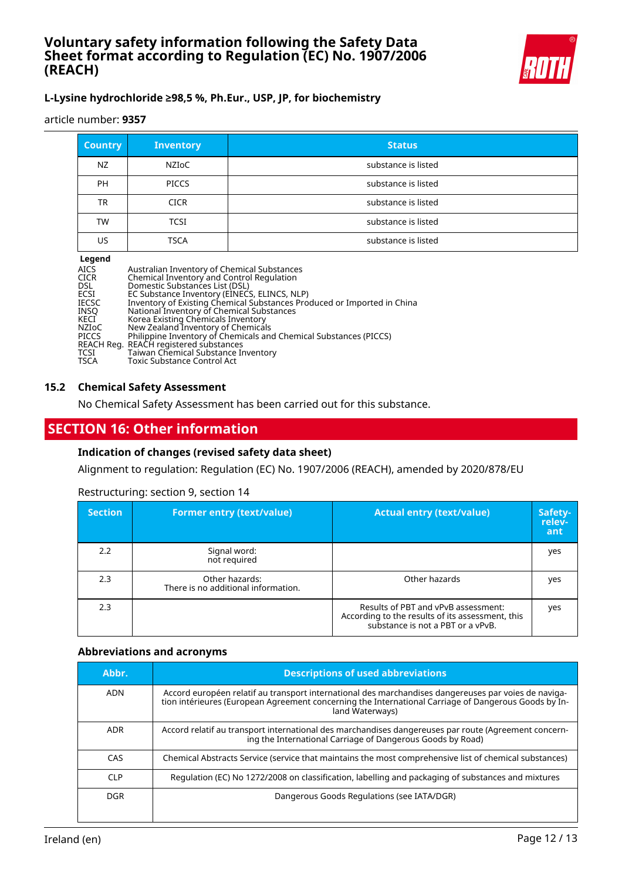

### **L-Lysine hydrochloride ≥98,5 %, Ph.Eur., USP, JP, for biochemistry**

article number: **9357**

| <b>Country</b> | <b>Inventory</b> | <b>Status</b>       |
|----------------|------------------|---------------------|
| NZ             | NZIoC            | substance is listed |
| <b>PH</b>      | <b>PICCS</b>     | substance is listed |
| TR             | <b>CICR</b>      | substance is listed |
| TW             | <b>TCSI</b>      | substance is listed |
| US             | <b>TSCA</b>      | substance is listed |

#### **Legend**

| <b>AICS</b><br><b>CICR</b> | Australian Inventory of Chemical Substances<br>Chemical Inventory and Control Regulation |
|----------------------------|------------------------------------------------------------------------------------------|
| <b>DSL</b>                 | Domestic Substances List (DSL)                                                           |
| ECSI                       | EC Substance Inventory (EINECS, ELINCS, NLP)                                             |
| <b>IECSC</b>               | Inventory of Existing Chemical Substances Produced or Imported in China                  |
| INSO                       | National Inventory of Chemical Substances                                                |
| KECI                       | Korea Existing Chemicals Inventory                                                       |
| <b>NZIOC</b>               | New Zealand Inventory of Chemicals                                                       |
| <b>PICCS</b>               | Philippine Inventory of Chemicals and Chemical Substances (PICCS)                        |
|                            | REACH Reg. REACH registered substances                                                   |
| TCSI                       | Taiwan Chemical Substance Inventory                                                      |
| TSCA                       | <b>Toxic Substance Control Act</b>                                                       |

#### **15.2 Chemical Safety Assessment**

No Chemical Safety Assessment has been carried out for this substance.

# **SECTION 16: Other information**

#### **Indication of changes (revised safety data sheet)**

Alignment to regulation: Regulation (EC) No. 1907/2006 (REACH), amended by 2020/878/EU

#### Restructuring: section 9, section 14

| <b>Section</b> | <b>Former entry (text/value)</b>                      | <b>Actual entry (text/value)</b>                                                                                             | Safety-<br>relev-<br>ant |
|----------------|-------------------------------------------------------|------------------------------------------------------------------------------------------------------------------------------|--------------------------|
| 2.2            | Signal word:<br>not required                          |                                                                                                                              | yes                      |
| 2.3            | Other hazards:<br>There is no additional information. | Other hazards                                                                                                                | yes                      |
| 2.3            |                                                       | Results of PBT and vPvB assessment:<br>According to the results of its assessment, this<br>substance is not a PBT or a vPvB. | yes                      |

#### **Abbreviations and acronyms**

| Abbr.      | <b>Descriptions of used abbreviations</b>                                                                                                                                                                                       |  |
|------------|---------------------------------------------------------------------------------------------------------------------------------------------------------------------------------------------------------------------------------|--|
| ADN        | Accord européen relatif au transport international des marchandises dangereuses par voies de naviga-<br>tion intérieures (European Agreement concerning the International Carriage of Dangerous Goods by In-<br>land Waterways) |  |
| ADR        | Accord relatif au transport international des marchandises dangereuses par route (Agreement concern-<br>ing the International Carriage of Dangerous Goods by Road)                                                              |  |
| CAS        | Chemical Abstracts Service (service that maintains the most comprehensive list of chemical substances)                                                                                                                          |  |
| <b>CLP</b> | Regulation (EC) No 1272/2008 on classification, labelling and packaging of substances and mixtures                                                                                                                              |  |
| DGR.       | Dangerous Goods Regulations (see IATA/DGR)                                                                                                                                                                                      |  |